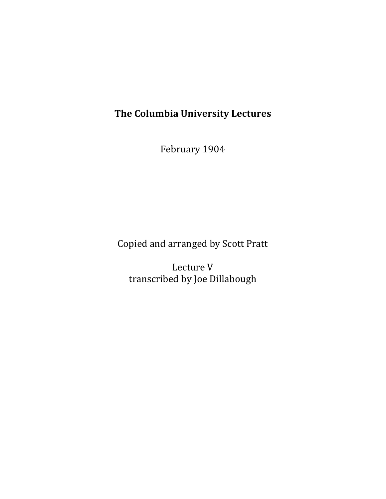# **The Columbia University Lectures**

February 1904

Copied and arranged by Scott Pratt

Lecture V transcribed by Joe Dillabough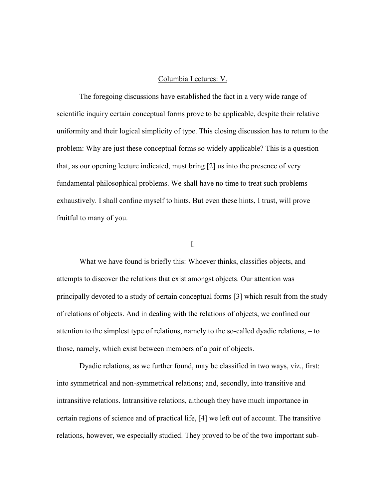#### Columbia Lectures: V.

The foregoing discussions have established the fact in a very wide range of scientific inquiry certain conceptual forms prove to be applicable, despite their relative uniformity and their logical simplicity of type. This closing discussion has to return to the problem: Why are just these conceptual forms so widely applicable? This is a question that, as our opening lecture indicated, must bring [2] us into the presence of very fundamental philosophical problems. We shall have no time to treat such problems exhaustively. I shall confine myself to hints. But even these hints, I trust, will prove fruitful to many of you.

### I.

What we have found is briefly this: Whoever thinks, classifies objects, and attempts to discover the relations that exist amongst objects. Our attention was principally devoted to a study of certain conceptual forms [3] which result from the study of relations of objects. And in dealing with the relations of objects, we confined our attention to the simplest type of relations, namely to the so-called dyadic relations, – to those, namely, which exist between members of a pair of objects.

Dyadic relations, as we further found, may be classified in two ways, viz., first: into symmetrical and non-symmetrical relations; and, secondly, into transitive and intransitive relations. Intransitive relations, although they have much importance in certain regions of science and of practical life, [4] we left out of account. The transitive relations, however, we especially studied. They proved to be of the two important sub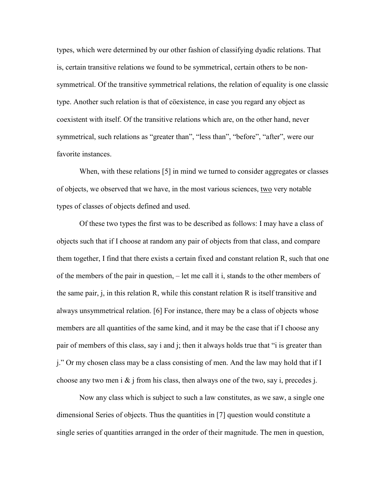types, which were determined by our other fashion of classifying dyadic relations. That is, certain transitive relations we found to be symmetrical, certain others to be nonsymmetrical. Of the transitive symmetrical relations, the relation of equality is one classic type. Another such relation is that of cöexistence, in case you regard any object as coexistent with itself. Of the transitive relations which are, on the other hand, never symmetrical, such relations as "greater than", "less than", "before", "after", were our favorite instances.

When, with these relations [5] in mind we turned to consider aggregates or classes of objects, we observed that we have, in the most various sciences, two very notable types of classes of objects defined and used.

Of these two types the first was to be described as follows: I may have a class of objects such that if I choose at random any pair of objects from that class, and compare them together, I find that there exists a certain fixed and constant relation R, such that one of the members of the pair in question, – let me call it i, stands to the other members of the same pair, j, in this relation R, while this constant relation R is itself transitive and always unsymmetrical relation. [6] For instance, there may be a class of objects whose members are all quantities of the same kind, and it may be the case that if I choose any pair of members of this class, say i and j; then it always holds true that "i is greater than j." Or my chosen class may be a class consisting of men. And the law may hold that if I choose any two men i  $\&$  j from his class, then always one of the two, say i, precedes j.

Now any class which is subject to such a law constitutes, as we saw, a single one dimensional Series of objects. Thus the quantities in [7] question would constitute a single series of quantities arranged in the order of their magnitude. The men in question,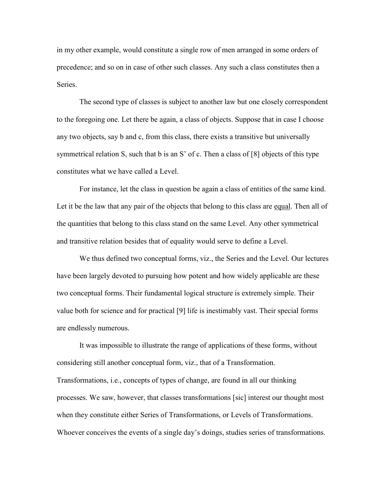in my other example, would constitute a single row of men arranged in some orders of precedence; and so on in case of other such classes. Any such a class constitutes then a Series.

The second type of classes is subject to another law but one closely correspondent to the foregoing one. Let there be again, a class of objects. Suppose that in case I choose any two objects, say b and c, from this class, there exists a transitive but universally symmetrical relation S, such that b is an S' of c. Then a class of [8] objects of this type constitutes what we have called a Level.

For instance, let the class in question be again a class of entities of the same kind. Let it be the law that any pair of the objects that belong to this class are equal. Then all of the quantities that belong to this class stand on the same Level. Any other symmetrical and transitive relation besides that of equality would serve to define a Level.

We thus defined two conceptual forms, viz., the Series and the Level. Our lectures have been largely devoted to pursuing how potent and how widely applicable are these two conceptual forms. Their fundamental logical structure is extremely simple. Their value both for science and for practical [9] life is inestimably vast. Their special forms are endlessly numerous.

It was impossible to illustrate the range of applications of these forms, without considering still another conceptual form, viz., that of a Transformation. Transformations, i.e., concepts of types of change, are found in all our thinking processes. We saw, however, that classes transformations [sic] interest our thought most when they constitute either Series of Transformations, or Levels of Transformations. Whoever conceives the events of a single day's doings, studies series of transformations.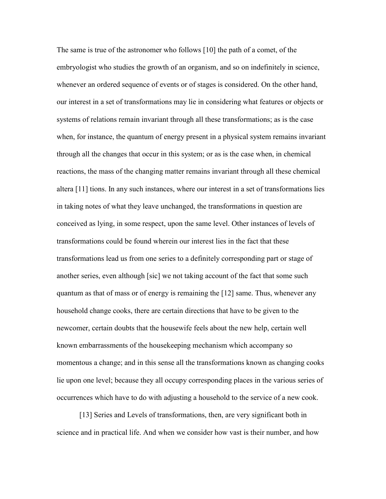The same is true of the astronomer who follows [10] the path of a comet, of the embryologist who studies the growth of an organism, and so on indefinitely in science, whenever an ordered sequence of events or of stages is considered. On the other hand, our interest in a set of transformations may lie in considering what features or objects or systems of relations remain invariant through all these transformations; as is the case when, for instance, the quantum of energy present in a physical system remains invariant through all the changes that occur in this system; or as is the case when, in chemical reactions, the mass of the changing matter remains invariant through all these chemical altera [11] tions. In any such instances, where our interest in a set of transformations lies in taking notes of what they leave unchanged, the transformations in question are conceived as lying, in some respect, upon the same level. Other instances of levels of transformations could be found wherein our interest lies in the fact that these transformations lead us from one series to a definitely corresponding part or stage of another series, even although [sic] we not taking account of the fact that some such quantum as that of mass or of energy is remaining the [12] same. Thus, whenever any household change cooks, there are certain directions that have to be given to the newcomer, certain doubts that the housewife feels about the new help, certain well known embarrassments of the housekeeping mechanism which accompany so momentous a change; and in this sense all the transformations known as changing cooks lie upon one level; because they all occupy corresponding places in the various series of occurrences which have to do with adjusting a household to the service of a new cook.

[13] Series and Levels of transformations, then, are very significant both in science and in practical life. And when we consider how vast is their number, and how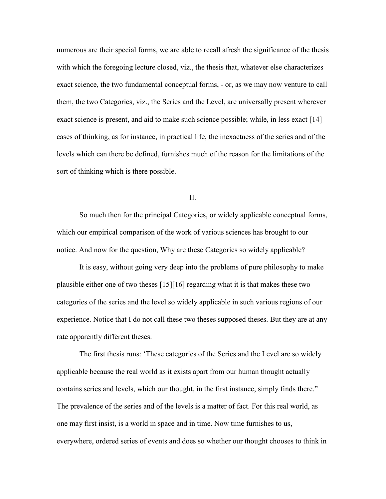numerous are their special forms, we are able to recall afresh the significance of the thesis with which the foregoing lecture closed, viz., the thesis that, whatever else characterizes exact science, the two fundamental conceptual forms, - or, as we may now venture to call them, the two Categories, viz., the Series and the Level, are universally present wherever exact science is present, and aid to make such science possible; while, in less exact [14] cases of thinking, as for instance, in practical life, the inexactness of the series and of the levels which can there be defined, furnishes much of the reason for the limitations of the sort of thinking which is there possible.

## II.

So much then for the principal Categories, or widely applicable conceptual forms, which our empirical comparison of the work of various sciences has brought to our notice. And now for the question, Why are these Categories so widely applicable?

It is easy, without going very deep into the problems of pure philosophy to make plausible either one of two theses [15][16] regarding what it is that makes these two categories of the series and the level so widely applicable in such various regions of our experience. Notice that I do not call these two theses supposed theses. But they are at any rate apparently different theses.

The first thesis runs: 'These categories of the Series and the Level are so widely applicable because the real world as it exists apart from our human thought actually contains series and levels, which our thought, in the first instance, simply finds there." The prevalence of the series and of the levels is a matter of fact. For this real world, as one may first insist, is a world in space and in time. Now time furnishes to us, everywhere, ordered series of events and does so whether our thought chooses to think in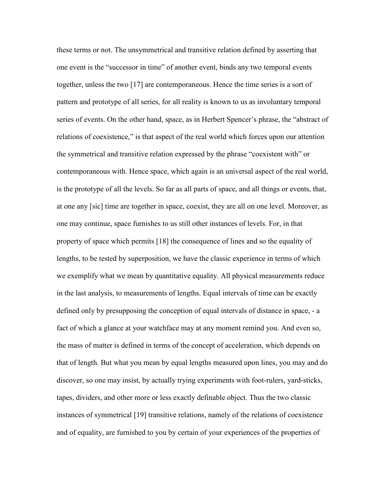these terms or not. The unsymmetrical and transitive relation defined by asserting that one event is the "successor in time" of another event, binds any two temporal events together, unless the two [17] are contemporaneous. Hence the time series is a sort of pattern and prototype of all series, for all reality is known to us as involuntary temporal series of events. On the other hand, space, as in Herbert Spencer's phrase, the "abstract of relations of coexistence," is that aspect of the real world which forces upon our attention the symmetrical and transitive relation expressed by the phrase "coexistent with" or contemporaneous with. Hence space, which again is an universal aspect of the real world, is the prototype of all the levels. So far as all parts of space, and all things or events, that, at one any [sic] time are together in space, coexist, they are all on one level. Moreover, as one may continue, space furnishes to us still other instances of levels. For, in that property of space which permits [18] the consequence of lines and so the equality of lengths, to be tested by superposition, we have the classic experience in terms of which we exemplify what we mean by quantitative equality. All physical measurements reduce in the last analysis, to measurements of lengths. Equal intervals of time can be exactly defined only by presupposing the conception of equal intervals of distance in space, - a fact of which a glance at your watchface may at any moment remind you. And even so, the mass of matter is defined in terms of the concept of acceleration, which depends on that of length. But what you mean by equal lengths measured upon lines, you may and do discover, so one may insist, by actually trying experiments with foot-rulers, yard-sticks, tapes, dividers, and other more or less exactly definable object. Thus the two classic instances of symmetrical [19] transitive relations, namely of the relations of coexistence and of equality, are furnished to you by certain of your experiences of the properties of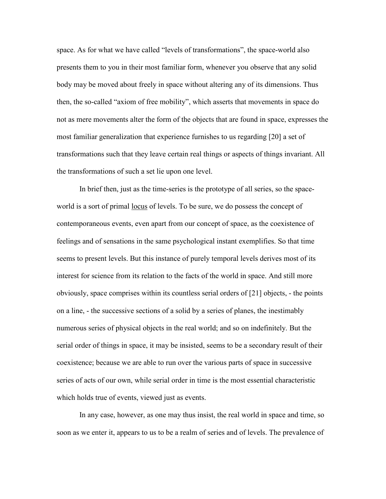space. As for what we have called "levels of transformations", the space-world also presents them to you in their most familiar form, whenever you observe that any solid body may be moved about freely in space without altering any of its dimensions. Thus then, the so-called "axiom of free mobility", which asserts that movements in space do not as mere movements alter the form of the objects that are found in space, expresses the most familiar generalization that experience furnishes to us regarding [20] a set of transformations such that they leave certain real things or aspects of things invariant. All the transformations of such a set lie upon one level.

In brief then, just as the time-series is the prototype of all series, so the spaceworld is a sort of primal locus of levels. To be sure, we do possess the concept of contemporaneous events, even apart from our concept of space, as the coexistence of feelings and of sensations in the same psychological instant exemplifies. So that time seems to present levels. But this instance of purely temporal levels derives most of its interest for science from its relation to the facts of the world in space. And still more obviously, space comprises within its countless serial orders of [21] objects, - the points on a line, - the successive sections of a solid by a series of planes, the inestimably numerous series of physical objects in the real world; and so on indefinitely. But the serial order of things in space, it may be insisted, seems to be a secondary result of their coexistence; because we are able to run over the various parts of space in successive series of acts of our own, while serial order in time is the most essential characteristic which holds true of events, viewed just as events.

In any case, however, as one may thus insist, the real world in space and time, so soon as we enter it, appears to us to be a realm of series and of levels. The prevalence of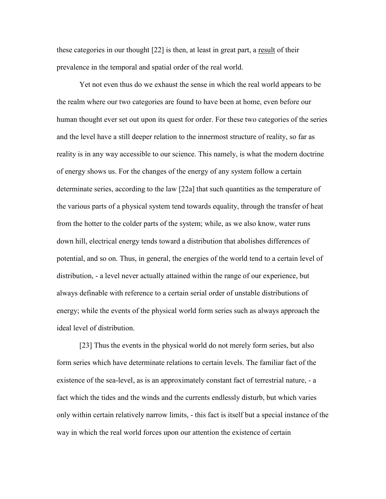these categories in our thought [22] is then, at least in great part, a result of their prevalence in the temporal and spatial order of the real world.

Yet not even thus do we exhaust the sense in which the real world appears to be the realm where our two categories are found to have been at home, even before our human thought ever set out upon its quest for order. For these two categories of the series and the level have a still deeper relation to the innermost structure of reality, so far as reality is in any way accessible to our science. This namely, is what the modern doctrine of energy shows us. For the changes of the energy of any system follow a certain determinate series, according to the law [22a] that such quantities as the temperature of the various parts of a physical system tend towards equality, through the transfer of heat from the hotter to the colder parts of the system; while, as we also know, water runs down hill, electrical energy tends toward a distribution that abolishes differences of potential, and so on. Thus, in general, the energies of the world tend to a certain level of distribution, - a level never actually attained within the range of our experience, but always definable with reference to a certain serial order of unstable distributions of energy; while the events of the physical world form series such as always approach the ideal level of distribution.

[23] Thus the events in the physical world do not merely form series, but also form series which have determinate relations to certain levels. The familiar fact of the existence of the sea-level, as is an approximately constant fact of terrestrial nature, - a fact which the tides and the winds and the currents endlessly disturb, but which varies only within certain relatively narrow limits, - this fact is itself but a special instance of the way in which the real world forces upon our attention the existence of certain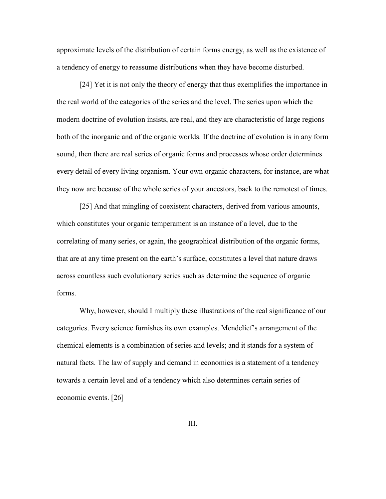approximate levels of the distribution of certain forms energy, as well as the existence of a tendency of energy to reassume distributions when they have become disturbed.

[24] Yet it is not only the theory of energy that thus exemplifies the importance in the real world of the categories of the series and the level. The series upon which the modern doctrine of evolution insists, are real, and they are characteristic of large regions both of the inorganic and of the organic worlds. If the doctrine of evolution is in any form sound, then there are real series of organic forms and processes whose order determines every detail of every living organism. Your own organic characters, for instance, are what they now are because of the whole series of your ancestors, back to the remotest of times.

[25] And that mingling of coexistent characters, derived from various amounts, which constitutes your organic temperament is an instance of a level, due to the correlating of many series, or again, the geographical distribution of the organic forms, that are at any time present on the earth's surface, constitutes a level that nature draws across countless such evolutionary series such as determine the sequence of organic forms.

Why, however, should I multiply these illustrations of the real significance of our categories. Every science furnishes its own examples. Mendelief's arrangement of the chemical elements is a combination of series and levels; and it stands for a system of natural facts. The law of supply and demand in economics is a statement of a tendency towards a certain level and of a tendency which also determines certain series of economic events. [26]

III.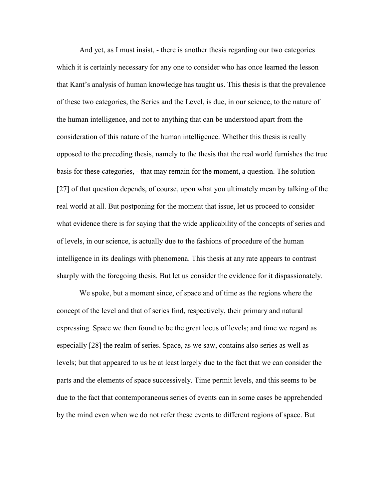And yet, as I must insist, - there is another thesis regarding our two categories which it is certainly necessary for any one to consider who has once learned the lesson that Kant's analysis of human knowledge has taught us. This thesis is that the prevalence of these two categories, the Series and the Level, is due, in our science, to the nature of the human intelligence, and not to anything that can be understood apart from the consideration of this nature of the human intelligence. Whether this thesis is really opposed to the preceding thesis, namely to the thesis that the real world furnishes the true basis for these categories, - that may remain for the moment, a question. The solution [27] of that question depends, of course, upon what you ultimately mean by talking of the real world at all. But postponing for the moment that issue, let us proceed to consider what evidence there is for saying that the wide applicability of the concepts of series and of levels, in our science, is actually due to the fashions of procedure of the human intelligence in its dealings with phenomena. This thesis at any rate appears to contrast sharply with the foregoing thesis. But let us consider the evidence for it dispassionately.

We spoke, but a moment since, of space and of time as the regions where the concept of the level and that of series find, respectively, their primary and natural expressing. Space we then found to be the great locus of levels; and time we regard as especially [28] the realm of series. Space, as we saw, contains also series as well as levels; but that appeared to us be at least largely due to the fact that we can consider the parts and the elements of space successively. Time permit levels, and this seems to be due to the fact that contemporaneous series of events can in some cases be apprehended by the mind even when we do not refer these events to different regions of space. But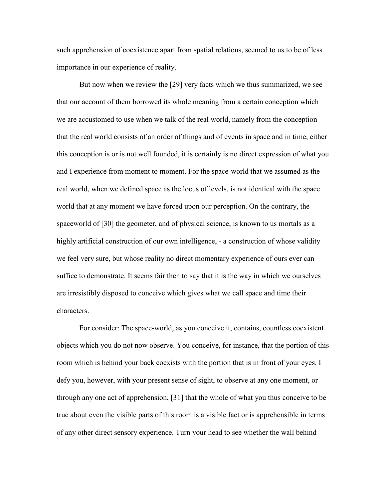such apprehension of coexistence apart from spatial relations, seemed to us to be of less importance in our experience of reality.

But now when we review the [29] very facts which we thus summarized, we see that our account of them borrowed its whole meaning from a certain conception which we are accustomed to use when we talk of the real world, namely from the conception that the real world consists of an order of things and of events in space and in time, either this conception is or is not well founded, it is certainly is no direct expression of what you and I experience from moment to moment. For the space-world that we assumed as the real world, when we defined space as the locus of levels, is not identical with the space world that at any moment we have forced upon our perception. On the contrary, the spaceworld of [30] the geometer, and of physical science, is known to us mortals as a highly artificial construction of our own intelligence, - a construction of whose validity we feel very sure, but whose reality no direct momentary experience of ours ever can suffice to demonstrate. It seems fair then to say that it is the way in which we ourselves are irresistibly disposed to conceive which gives what we call space and time their characters.

For consider: The space-world, as you conceive it, contains, countless coexistent objects which you do not now observe. You conceive, for instance, that the portion of this room which is behind your back coexists with the portion that is in front of your eyes. I defy you, however, with your present sense of sight, to observe at any one moment, or through any one act of apprehension, [31] that the whole of what you thus conceive to be true about even the visible parts of this room is a visible fact or is apprehensible in terms of any other direct sensory experience. Turn your head to see whether the wall behind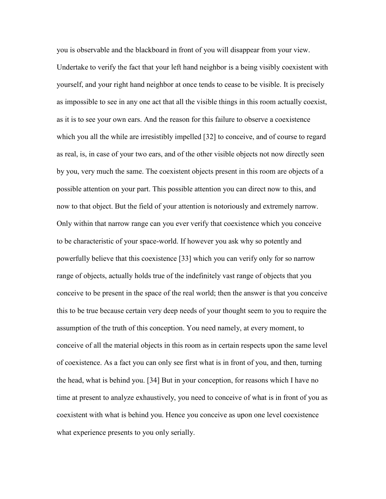you is observable and the blackboard in front of you will disappear from your view. Undertake to verify the fact that your left hand neighbor is a being visibly coexistent with yourself, and your right hand neighbor at once tends to cease to be visible. It is precisely as impossible to see in any one act that all the visible things in this room actually coexist, as it is to see your own ears. And the reason for this failure to observe a coexistence which you all the while are irresistibly impelled [32] to conceive, and of course to regard as real, is, in case of your two ears, and of the other visible objects not now directly seen by you, very much the same. The coexistent objects present in this room are objects of a possible attention on your part. This possible attention you can direct now to this, and now to that object. But the field of your attention is notoriously and extremely narrow. Only within that narrow range can you ever verify that coexistence which you conceive to be characteristic of your space-world. If however you ask why so potently and powerfully believe that this coexistence [33] which you can verify only for so narrow range of objects, actually holds true of the indefinitely vast range of objects that you conceive to be present in the space of the real world; then the answer is that you conceive this to be true because certain very deep needs of your thought seem to you to require the assumption of the truth of this conception. You need namely, at every moment, to conceive of all the material objects in this room as in certain respects upon the same level of coexistence. As a fact you can only see first what is in front of you, and then, turning the head, what is behind you. [34] But in your conception, for reasons which I have no time at present to analyze exhaustively, you need to conceive of what is in front of you as coexistent with what is behind you. Hence you conceive as upon one level coexistence what experience presents to you only serially.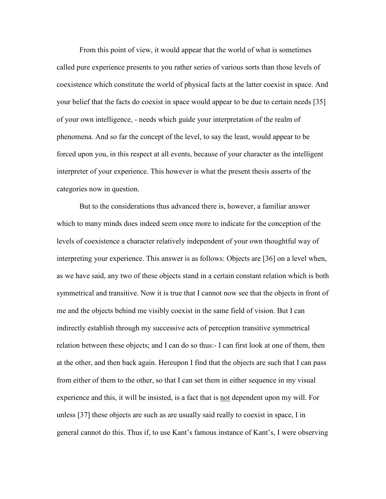From this point of view, it would appear that the world of what is sometimes called pure experience presents to you rather series of various sorts than those levels of coexistence which constitute the world of physical facts at the latter coexist in space. And your belief that the facts do coexist in space would appear to be due to certain needs [35] of your own intelligence, - needs which guide your interpretation of the realm of phenomena. And so far the concept of the level, to say the least, would appear to be forced upon you, in this respect at all events, because of your character as the intelligent interpreter of your experience. This however is what the present thesis asserts of the categories now in question.

But to the considerations thus advanced there is, however, a familiar answer which to many minds does indeed seem once more to indicate for the conception of the levels of coexistence a character relatively independent of your own thoughtful way of interpreting your experience. This answer is as follows: Objects are [36] on a level when, as we have said, any two of these objects stand in a certain constant relation which is both symmetrical and transitive. Now it is true that I cannot now see that the objects in front of me and the objects behind me visibly coexist in the same field of vision. But I can indirectly establish through my successive acts of perception transitive symmetrical relation between these objects; and I can do so thus:- I can first look at one of them, then at the other, and then back again. Hereupon I find that the objects are such that I can pass from either of them to the other, so that I can set them in either sequence in my visual experience and this, it will be insisted, is a fact that is not dependent upon my will. For unless [37] these objects are such as are usually said really to coexist in space, I in general cannot do this. Thus if, to use Kant's famous instance of Kant's, I were observing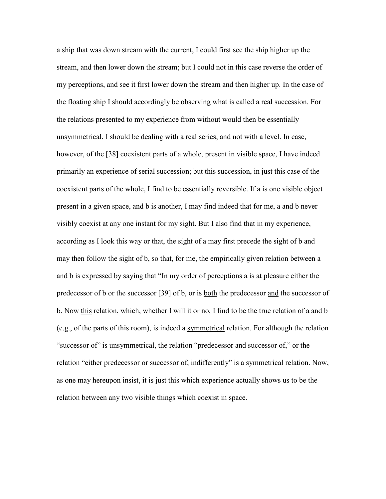a ship that was down stream with the current, I could first see the ship higher up the stream, and then lower down the stream; but I could not in this case reverse the order of my perceptions, and see it first lower down the stream and then higher up. In the case of the floating ship I should accordingly be observing what is called a real succession. For the relations presented to my experience from without would then be essentially unsymmetrical. I should be dealing with a real series, and not with a level. In case, however, of the [38] coexistent parts of a whole, present in visible space, I have indeed primarily an experience of serial succession; but this succession, in just this case of the coexistent parts of the whole, I find to be essentially reversible. If a is one visible object present in a given space, and b is another, I may find indeed that for me, a and b never visibly coexist at any one instant for my sight. But I also find that in my experience, according as I look this way or that, the sight of a may first precede the sight of b and may then follow the sight of b, so that, for me, the empirically given relation between a and b is expressed by saying that "In my order of perceptions a is at pleasure either the predecessor of b or the successor [39] of b, or is both the predecessor and the successor of b. Now this relation, which, whether I will it or no, I find to be the true relation of a and b (e.g., of the parts of this room), is indeed a symmetrical relation. For although the relation "successor of" is unsymmetrical, the relation "predecessor and successor of," or the relation "either predecessor or successor of, indifferently" is a symmetrical relation. Now, as one may hereupon insist, it is just this which experience actually shows us to be the relation between any two visible things which coexist in space.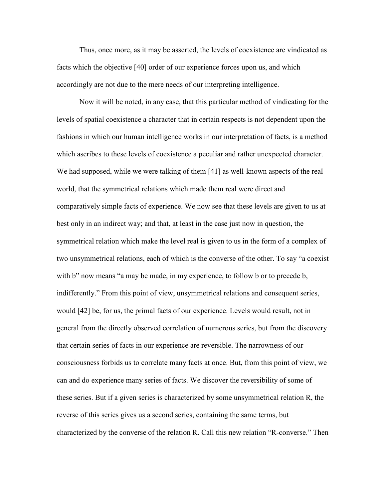Thus, once more, as it may be asserted, the levels of coexistence are vindicated as facts which the objective [40] order of our experience forces upon us, and which accordingly are not due to the mere needs of our interpreting intelligence.

Now it will be noted, in any case, that this particular method of vindicating for the levels of spatial coexistence a character that in certain respects is not dependent upon the fashions in which our human intelligence works in our interpretation of facts, is a method which ascribes to these levels of coexistence a peculiar and rather unexpected character. We had supposed, while we were talking of them [41] as well-known aspects of the real world, that the symmetrical relations which made them real were direct and comparatively simple facts of experience. We now see that these levels are given to us at best only in an indirect way; and that, at least in the case just now in question, the symmetrical relation which make the level real is given to us in the form of a complex of two unsymmetrical relations, each of which is the converse of the other. To say "a coexist with b" now means "a may be made, in my experience, to follow b or to precede b, indifferently." From this point of view, unsymmetrical relations and consequent series, would [42] be, for us, the primal facts of our experience. Levels would result, not in general from the directly observed correlation of numerous series, but from the discovery that certain series of facts in our experience are reversible. The narrowness of our consciousness forbids us to correlate many facts at once. But, from this point of view, we can and do experience many series of facts. We discover the reversibility of some of these series. But if a given series is characterized by some unsymmetrical relation R, the reverse of this series gives us a second series, containing the same terms, but characterized by the converse of the relation R. Call this new relation "R-converse." Then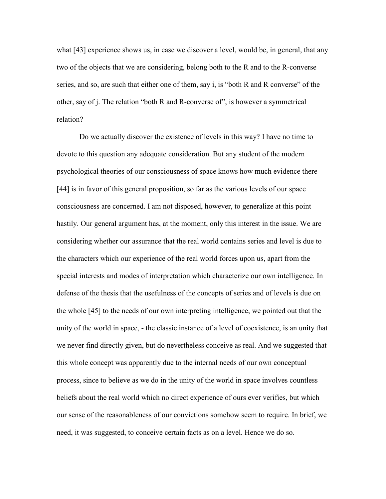what [43] experience shows us, in case we discover a level, would be, in general, that any two of the objects that we are considering, belong both to the R and to the R-converse series, and so, are such that either one of them, say i, is "both R and R converse" of the other, say of j. The relation "both R and R-converse of", is however a symmetrical relation?

Do we actually discover the existence of levels in this way? I have no time to devote to this question any adequate consideration. But any student of the modern psychological theories of our consciousness of space knows how much evidence there [44] is in favor of this general proposition, so far as the various levels of our space consciousness are concerned. I am not disposed, however, to generalize at this point hastily. Our general argument has, at the moment, only this interest in the issue. We are considering whether our assurance that the real world contains series and level is due to the characters which our experience of the real world forces upon us, apart from the special interests and modes of interpretation which characterize our own intelligence. In defense of the thesis that the usefulness of the concepts of series and of levels is due on the whole [45] to the needs of our own interpreting intelligence, we pointed out that the unity of the world in space, - the classic instance of a level of coexistence, is an unity that we never find directly given, but do nevertheless conceive as real. And we suggested that this whole concept was apparently due to the internal needs of our own conceptual process, since to believe as we do in the unity of the world in space involves countless beliefs about the real world which no direct experience of ours ever verifies, but which our sense of the reasonableness of our convictions somehow seem to require. In brief, we need, it was suggested, to conceive certain facts as on a level. Hence we do so.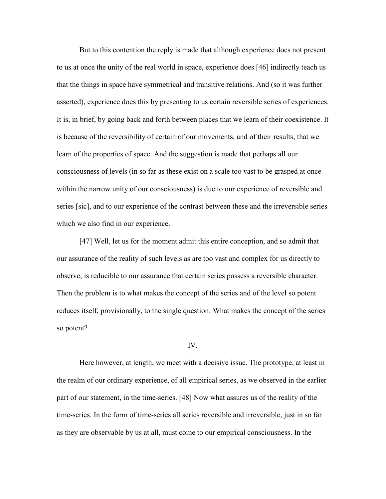But to this contention the reply is made that although experience does not present to us at once the unity of the real world in space, experience does [46] indirectly teach us that the things in space have symmetrical and transitive relations. And (so it was further asserted), experience does this by presenting to us certain reversible series of experiences. It is, in brief, by going back and forth between places that we learn of their coexistence. It is because of the reversibility of certain of our movements, and of their results, that we learn of the properties of space. And the suggestion is made that perhaps all our consciousness of levels (in so far as these exist on a scale too vast to be grasped at once within the narrow unity of our consciousness) is due to our experience of reversible and series [sic], and to our experience of the contrast between these and the irreversible series which we also find in our experience.

[47] Well, let us for the moment admit this entire conception, and so admit that our assurance of the reality of such levels as are too vast and complex for us directly to observe, is reducible to our assurance that certain series possess a reversible character. Then the problem is to what makes the concept of the series and of the level so potent reduces itself, provisionally, to the single question: What makes the concept of the series so potent?

#### IV.

Here however, at length, we meet with a decisive issue. The prototype, at least in the realm of our ordinary experience, of all empirical series, as we observed in the earlier part of our statement, in the time-series. [48] Now what assures us of the reality of the time-series. In the form of time-series all series reversible and irreversible, just in so far as they are observable by us at all, must come to our empirical consciousness. In the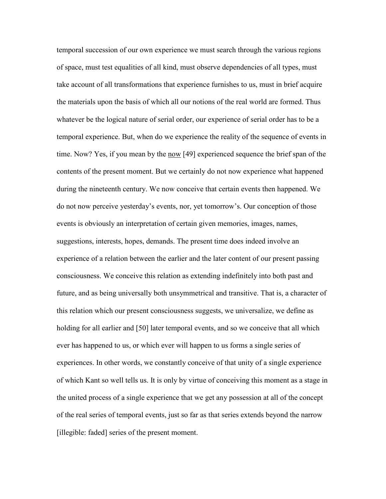temporal succession of our own experience we must search through the various regions of space, must test equalities of all kind, must observe dependencies of all types, must take account of all transformations that experience furnishes to us, must in brief acquire the materials upon the basis of which all our notions of the real world are formed. Thus whatever be the logical nature of serial order, our experience of serial order has to be a temporal experience. But, when do we experience the reality of the sequence of events in time. Now? Yes, if you mean by the now [49] experienced sequence the brief span of the contents of the present moment. But we certainly do not now experience what happened during the nineteenth century. We now conceive that certain events then happened. We do not now perceive yesterday's events, nor, yet tomorrow's. Our conception of those events is obviously an interpretation of certain given memories, images, names, suggestions, interests, hopes, demands. The present time does indeed involve an experience of a relation between the earlier and the later content of our present passing consciousness. We conceive this relation as extending indefinitely into both past and future, and as being universally both unsymmetrical and transitive. That is, a character of this relation which our present consciousness suggests, we universalize, we define as holding for all earlier and [50] later temporal events, and so we conceive that all which ever has happened to us, or which ever will happen to us forms a single series of experiences. In other words, we constantly conceive of that unity of a single experience of which Kant so well tells us. It is only by virtue of conceiving this moment as a stage in the united process of a single experience that we get any possession at all of the concept of the real series of temporal events, just so far as that series extends beyond the narrow [illegible: faded] series of the present moment.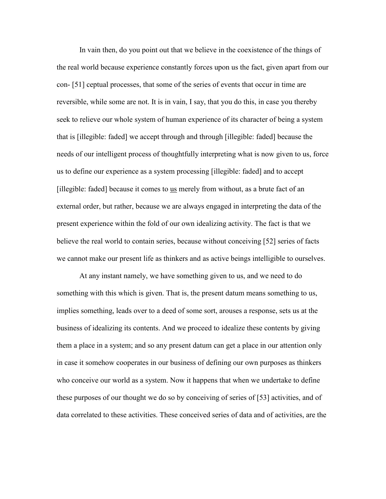In vain then, do you point out that we believe in the coexistence of the things of the real world because experience constantly forces upon us the fact, given apart from our con- [51] ceptual processes, that some of the series of events that occur in time are reversible, while some are not. It is in vain, I say, that you do this, in case you thereby seek to relieve our whole system of human experience of its character of being a system that is [illegible: faded] we accept through and through [illegible: faded] because the needs of our intelligent process of thoughtfully interpreting what is now given to us, force us to define our experience as a system processing [illegible: faded] and to accept [illegible: faded] because it comes to us merely from without, as a brute fact of an external order, but rather, because we are always engaged in interpreting the data of the present experience within the fold of our own idealizing activity. The fact is that we believe the real world to contain series, because without conceiving [52] series of facts we cannot make our present life as thinkers and as active beings intelligible to ourselves.

At any instant namely, we have something given to us, and we need to do something with this which is given. That is, the present datum means something to us, implies something, leads over to a deed of some sort, arouses a response, sets us at the business of idealizing its contents. And we proceed to idealize these contents by giving them a place in a system; and so any present datum can get a place in our attention only in case it somehow cooperates in our business of defining our own purposes as thinkers who conceive our world as a system. Now it happens that when we undertake to define these purposes of our thought we do so by conceiving of series of [53] activities, and of data correlated to these activities. These conceived series of data and of activities, are the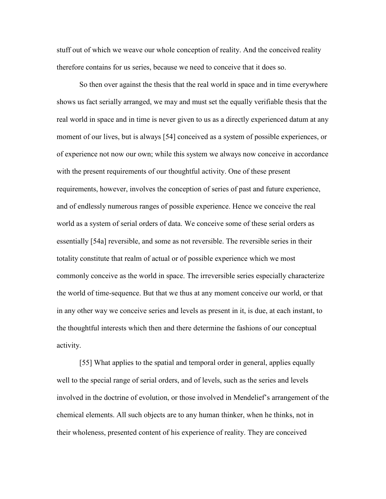stuff out of which we weave our whole conception of reality. And the conceived reality therefore contains for us series, because we need to conceive that it does so.

So then over against the thesis that the real world in space and in time everywhere shows us fact serially arranged, we may and must set the equally verifiable thesis that the real world in space and in time is never given to us as a directly experienced datum at any moment of our lives, but is always [54] conceived as a system of possible experiences, or of experience not now our own; while this system we always now conceive in accordance with the present requirements of our thoughtful activity. One of these present requirements, however, involves the conception of series of past and future experience, and of endlessly numerous ranges of possible experience. Hence we conceive the real world as a system of serial orders of data. We conceive some of these serial orders as essentially [54a] reversible, and some as not reversible. The reversible series in their totality constitute that realm of actual or of possible experience which we most commonly conceive as the world in space. The irreversible series especially characterize the world of time-sequence. But that we thus at any moment conceive our world, or that in any other way we conceive series and levels as present in it, is due, at each instant, to the thoughtful interests which then and there determine the fashions of our conceptual activity.

[55] What applies to the spatial and temporal order in general, applies equally well to the special range of serial orders, and of levels, such as the series and levels involved in the doctrine of evolution, or those involved in Mendelief's arrangement of the chemical elements. All such objects are to any human thinker, when he thinks, not in their wholeness, presented content of his experience of reality. They are conceived